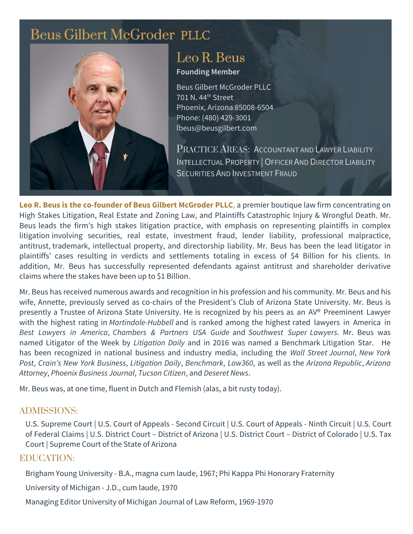# [Beus Gilbert McGroder](https://beusgilbert.com/) PLLC



# [Leo R. Beus](https://beusgilbert.com/team/leo-beus/)

#### Founding Member

Beus Gilbert McGroder PLLC 701 N. 44th Street Phoenix, Arizona 85008-6504 Phone: (480) 429-3001 lbeus@beusgilbert.com

PRACTICE AREAS: ACCOUNTANT AND LAWYER LIABILITY INTELLECTUAL PROPERTY |OFFICER AND DIRECTOR LIABILITY SECURITIES AND INVESTMENT FRAUD

Leo R. Beus is the co-founder of Beus Gilbert McGroder PLLC, a premier boutique law firm concentrating on High Stakes Litigation, Real Estate and Zoning Law, and Plaintiffs Catastrophic Injury & Wrongful Death. Mr. Beus leads the firm's high stakes litigation practice, with emphasis on representing plaintiffs in complex litigation involving securities, real estate, investment fraud, lender liability, professional malpractice, antitrust, trademark, intellectual property, and directorship liability. Mr. Beus has been the lead litigator in plaintiffs' cases resulting in verdicts and settlements totaling in excess of \$4 Billion for his clients. In addition, Mr. Beus has successfully represented defendants against antitrust and shareholder derivative claims where the stakes have been up to \$1 Billion.

Mr. Beus has received numerous awards and recognition in his profession and his community. Mr. Beus and his wife, Annette, previously served as co-chairs of the President's Club of Arizona State University. Mr. Beus is presently a Trustee of Arizona State University. He is recognized by his peers as an AV® Preeminent Lawyer with the highest rating in Martindale-Hubbell and is ranked among the highest rated lawyers in America in Best Lawyers in America, Chambers & Partners USA Guide and Southwest Super Lawyers. Mr. Beus was named Litigator of the Week by Litigation Daily and in 2016 was named a Benchmark Litigation Star. He has been recognized in national business and industry media, including the Wall Street Journal, New York Post, Crain's New York Business, Litigation Daily, Benchmark, Law360, as well as the Arizona Republic, Arizona Attorney, Phoenix Business Journal, Tucson Citizen, and Deseret News.

Mr. Beus was, at one time, fluent in Dutch and Flemish (alas, a bit rusty today).

# ADMISSIONS:

U.S. Supreme Court | U.S. Court of Appeals - Second Circuit | U.S. Court of Appeals - Ninth Circuit | U.S. Court of Federal Claims | U.S. District Court – District of Arizona | U.S. District Court – District of Colorado | U.S. Tax Court | Supreme Court of the State of Arizona

# EDUCATION:

Brigham Young University - B.A., magna cum laude, 1967; Phi Kappa Phi Honorary Fraternity

University of Michigan - J.D., cum laude, 1970

Managing Editor University of Michigan Journal of Law Reform, 1969-1970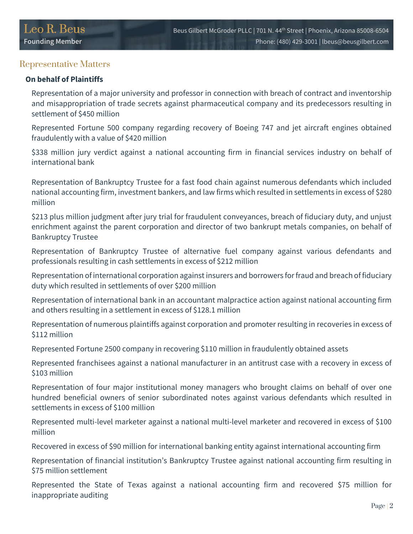## Representative Matters

#### On behalf of Plaintiffs

Representation of a major university and professor in connection with breach of contract and inventorship and misappropriation of trade secrets against pharmaceutical company and its predecessors resulting in settlement of \$450 million

Represented Fortune 500 company regarding recovery of Boeing 747 and jet aircraft engines obtained fraudulently with a value of \$420 million

\$338 million jury verdict against a national accounting firm in financial services industry on behalf of international bank

Representation of Bankruptcy Trustee for a fast food chain against numerous defendants which included national accounting firm, investment bankers, and law firms which resulted in settlements in excess of \$280 million

\$213 plus million judgment after jury trial for fraudulent conveyances, breach of fiduciary duty, and unjust enrichment against the parent corporation and director of two bankrupt metals companies, on behalf of Bankruptcy Trustee

Representation of Bankruptcy Trustee of alternative fuel company against various defendants and professionals resulting in cash settlements in excess of \$212 million

Representation of international corporation against insurers and borrowers for fraud and breach of fiduciary duty which resulted in settlements of over \$200 million

Representation of international bank in an accountant malpractice action against national accounting firm and others resulting in a settlement in excess of \$128.1 million

Representation of numerous plaintiffs against corporation and promoter resulting in recoveries in excess of \$112 million

Represented Fortune 2500 company in recovering \$110 million in fraudulently obtained assets

Represented franchisees against a national manufacturer in an antitrust case with a recovery in excess of \$103 million

Representation of four major institutional money managers who brought claims on behalf of over one hundred beneficial owners of senior subordinated notes against various defendants which resulted in settlements in excess of \$100 million

Represented multi-level marketer against a national multi-level marketer and recovered in excess of \$100 million

Recovered in excess of \$90 million for international banking entity against international accounting firm

Representation of financial institution's Bankruptcy Trustee against national accounting firm resulting in \$75 million settlement

Represented the State of Texas against a national accounting firm and recovered \$75 million for inappropriate auditing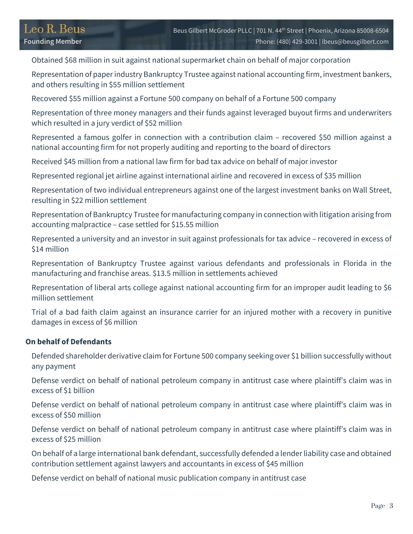Obtained \$68 million in suit against national supermarket chain on behalf of major corporation

Representation of paper industry Bankruptcy Trustee against national accounting firm, investment bankers, and others resulting in \$55 million settlement

Recovered \$55 million against a Fortune 500 company on behalf of a Fortune 500 company

Representation of three money managers and their funds against leveraged buyout firms and underwriters which resulted in a jury verdict of \$52 million

Represented a famous golfer in connection with a contribution claim – recovered \$50 million against a national accounting firm for not properly auditing and reporting to the board of directors

Received \$45 million from a national law firm for bad tax advice on behalf of major investor

Represented regional jet airline against international airline and recovered in excess of \$35 million

Representation of two individual entrepreneurs against one of the largest investment banks on Wall Street, resulting in \$22 million settlement

Representation of Bankruptcy Trustee for manufacturing company in connection with litigation arising from accounting malpractice – case settled for \$15.55 million

Represented a university and an investor in suit against professionals for tax advice – recovered in excess of \$14 million

Representation of Bankruptcy Trustee against various defendants and professionals in Florida in the manufacturing and franchise areas. \$13.5 million in settlements achieved

Representation of liberal arts college against national accounting firm for an improper audit leading to \$6 million settlement

Trial of a bad faith claim against an insurance carrier for an injured mother with a recovery in punitive damages in excess of \$6 million

#### On behalf of Defendants

Defended shareholder derivative claim for Fortune 500 company seeking over \$1 billion successfully without any payment

Defense verdict on behalf of national petroleum company in antitrust case where plaintiff's claim was in excess of \$1 billion

Defense verdict on behalf of national petroleum company in antitrust case where plaintiff's claim was in excess of \$50 million

Defense verdict on behalf of national petroleum company in antitrust case where plaintiff's claim was in excess of \$25 million

On behalf of a large international bank defendant, successfully defended a lender liability case and obtained contribution settlement against lawyers and accountants in excess of \$45 million

Defense verdict on behalf of national music publication company in antitrust case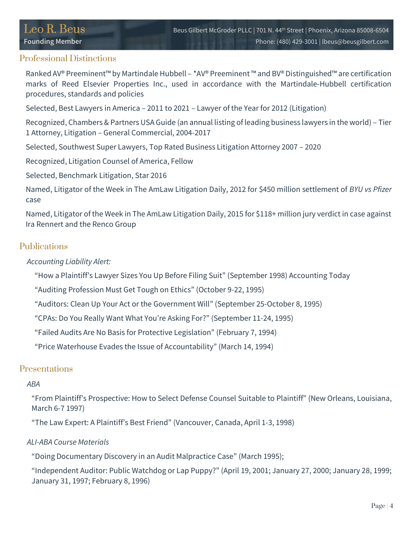## Professional Distinctions

Ranked AV® Preeminent™ by Martindale Hubbell – \*AV® Preeminent ™ and BV® Distinguished™ are certification marks of Reed Elsevier Properties Inc., used in accordance with the Martindale-Hubbell certification procedures, standards and policies

Selected, Best Lawyers in America – 2011 to 2021 – Lawyer of the Year for 2012 (Litigation)

Recognized, Chambers & Partners USA Guide (an annual listing of leading business lawyers in the world) – Tier 1 Attorney, Litigation – General Commercial, 2004-2017

Selected, Southwest Super Lawyers, Top Rated Business Litigation Attorney 2007 – 2020

Recognized, Litigation Counsel of America, Fellow

Selected, Benchmark Litigation, Star 2016

Named, Litigator of the Week in The AmLaw Litigation Daily, 2012 for \$450 million settlement of BYU vs Pfizer case

Named, Litigator of the Week in The AmLaw Litigation Daily, 2015 for \$118+ million jury verdict in case against Ira Rennert and the Renco Group

## Publications

Accounting Liability Alert:

"How a Plaintiff's Lawyer Sizes You Up Before Filing Suit" (September 1998) Accounting Today

"Auditing Profession Must Get Tough on Ethics" (October 9-22, 1995)

"Auditors: Clean Up Your Act or the Government Will" (September 25-October 8, 1995)

"CPAs: Do You Really Want What You're Asking For?" (September 11-24, 1995)

"Failed Audits Are No Basis for Protective Legislation" (February 7, 1994)

"Price Waterhouse Evades the Issue of Accountability" (March 14, 1994)

## Presentations

#### ABA

"From Plaintiff's Prospective: How to Select Defense Counsel Suitable to Plaintiff" (New Orleans, Louisiana, March 6-7 1997)

"The Law Expert: A Plaintiff's Best Friend" (Vancouver, Canada, April 1-3, 1998)

#### ALI-ABA Course Materials

"Doing Documentary Discovery in an Audit Malpractice Case" (March 1995);

"Independent Auditor: Public Watchdog or Lap Puppy?" (April 19, 2001; January 27, 2000; January 28, 1999; January 31, 1997; February 8, 1996)